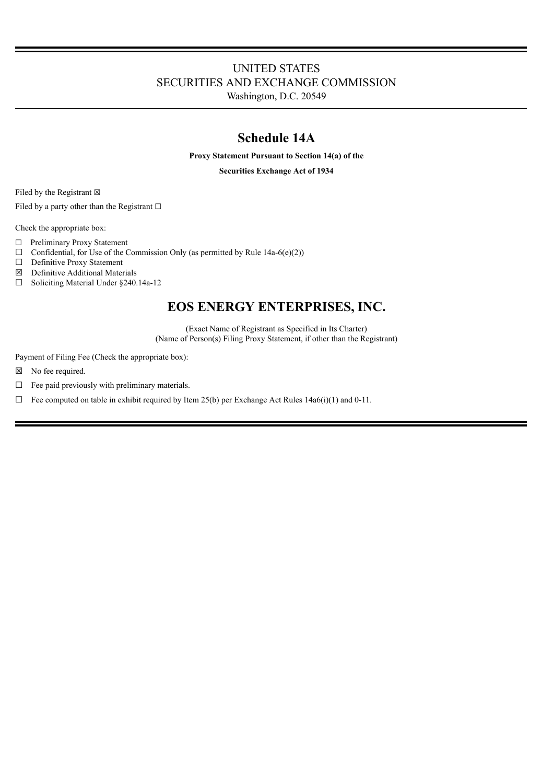## UNITED STATES SECURITIES AND EXCHANGE COMMISSION

Washington, D.C. 20549

## **Schedule 14A**

**Proxy Statement Pursuant to Section 14(a) of the**

**Securities Exchange Act of 1934**

Filed by the Registrant  $\boxtimes$ 

Filed by a party other than the Registrant  $□$ 

Check the appropriate box:

- ☐ Preliminary Proxy Statement
- $\Box$  Confidential, for Use of the Commission Only (as permitted by Rule 14a-6(e)(2))  $\Box$  Definitive Proxy Statement
- Definitive Proxy Statement

 $\boxtimes$  Definitive Additional Materials<br>  $\Box$  Soliciting Material Under 8240.

Soliciting Material Under §240.14a-12

## **EOS ENERGY ENTERPRISES, INC.**

(Exact Name of Registrant as Specified in Its Charter) (Name of Person(s) Filing Proxy Statement, if other than the Registrant)

Payment of Filing Fee (Check the appropriate box):

- ☒ No fee required.
- ☐ Fee paid previously with preliminary materials.
- $\Box$  Fee computed on table in exhibit required by Item 25(b) per Exchange Act Rules 14a6(i)(1) and 0-11.